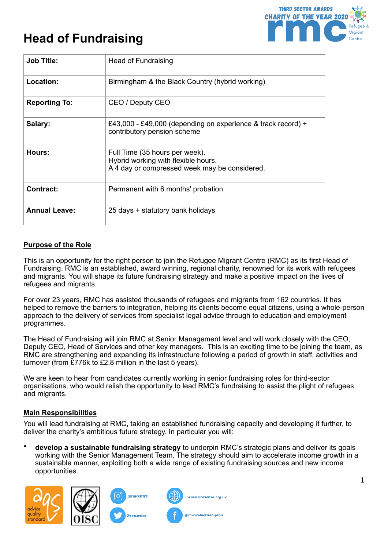# **Head of Fundraising**



| <b>Job Title:</b>    | Head of Fundraising                                                                                                    |
|----------------------|------------------------------------------------------------------------------------------------------------------------|
| Location:            | Birmingham & the Black Country (hybrid working)                                                                        |
| <b>Reporting To:</b> | CEO / Deputy CEO                                                                                                       |
| Salary:              | £43,000 - £49,000 (depending on experience & track record) +<br>contributory pension scheme                            |
| Hours:               | Full Time (35 hours per week).<br>Hybrid working with flexible hours.<br>A 4 day or compressed week may be considered. |
| <b>Contract:</b>     | Permanent with 6 months' probation                                                                                     |
| <b>Annual Leave:</b> | 25 days + statutory bank holidays                                                                                      |

# **Purpose of the Role**

This is an opportunity for the right person to join the Refugee Migrant Centre (RMC) as its first Head of Fundraising. RMC is an established, award winning, regional charity, renowned for its work with refugees and migrants. You will shape its future fundraising strategy and make a positive impact on the lives of refugees and migrants.

For over 23 years, RMC has assisted thousands of refugees and migrants from 162 countries. It has helped to remove the barriers to integration, helping its clients become equal citizens, using a whole-person approach to the delivery of services from specialist legal advice through to education and employment programmes.

The Head of Fundraising will join RMC at Senior Management level and will work closely with the CEO, Deputy CEO, Head of Services and other key managers. This is an exciting time to be joining the team, as RMC are strengthening and expanding its infrastructure following a period of growth in staff, activities and turnover (from £776k to £2.8 million in the last 5 years).

We are keen to hear from candidates currently working in senior fundraising roles for third-sector organisations, who would relish the opportunity to lead RMC's fundraising to assist the plight of refugees and migrants.

# **Main Responsibilities**

You will lead fundraising at RMC, taking an established fundraising capacity and developing it further, to deliver the charity's ambitious future strategy. In particular you will:

• **develop a sustainable fundraising strategy** to underpin RMC's strategic plans and deliver its goals working with the Senior Management Team. The strategy should aim to accelerate income growth in a sustainable manner, exploiting both a wide range of existing fundraising sources and new income opportunities.

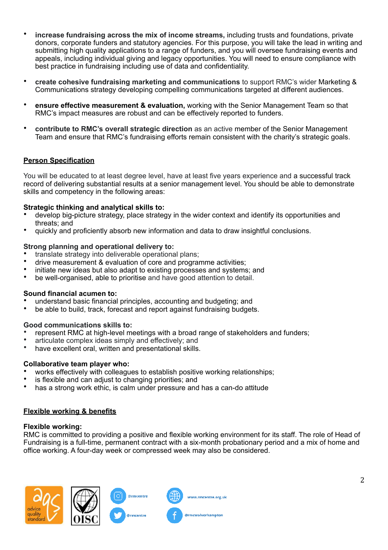- **increase fundraising across the mix of income streams,** including trusts and foundations, private donors, corporate funders and statutory agencies. For this purpose, you will take the lead in writing and submitting high quality applications to a range of funders, and you will oversee fundraising events and appeals, including individual giving and legacy opportunities. You will need to ensure compliance with best practice in fundraising including use of data and confidentiality.
- **create cohesive fundraising marketing and communications** to support RMC's wider Marketing & Communications strategy developing compelling communications targeted at different audiences.
- **ensure effective measurement & evaluation,** working with the Senior Management Team so that RMC's impact measures are robust and can be effectively reported to funders.
- **contribute to RMC's overall strategic direction** as an active member of the Senior Management Team and ensure that RMC's fundraising efforts remain consistent with the charity's strategic goals.

# **Person Specification**

You will be educated to at least degree level, have at least five years experience and a successful track record of delivering substantial results at a senior management level. You should be able to demonstrate skills and competency in the following areas:

#### **Strategic thinking and analytical skills to:**

- develop big-picture strategy, place strategy in the wider context and identify its opportunities and threats; and
- quickly and proficiently absorb new information and data to draw insightful conclusions.

#### **Strong planning and operational delivery to:**

- translate strategy into deliverable operational plans;
- drive measurement & evaluation of core and programme activities;
- initiate new ideas but also adapt to existing processes and systems; and
- be well-organised, able to prioritise and have good attention to detail.

#### **Sound financial acumen to:**

- understand basic financial principles, accounting and budgeting; and
- be able to build, track, forecast and report against fundraising budgets.

#### **Good communications skills to:**

- represent RMC at high-level meetings with a broad range of stakeholders and funders;
- articulate complex ideas simply and effectively; and
- have excellent oral, written and presentational skills.

#### **Collaborative team player who:**

- works effectively with colleagues to establish positive working relationships;
- is flexible and can adjust to changing priorities; and
- has a strong work ethic, is calm under pressure and has a can-do attitude

#### **Flexible working & benefits**

#### **Flexible working:**

RMC is committed to providing a positive and flexible working environment for its staff. The role of Head of Fundraising is a full-time, permanent contract with a six-month probationary period and a mix of home and office working. A four-day week or compressed week may also be considered.